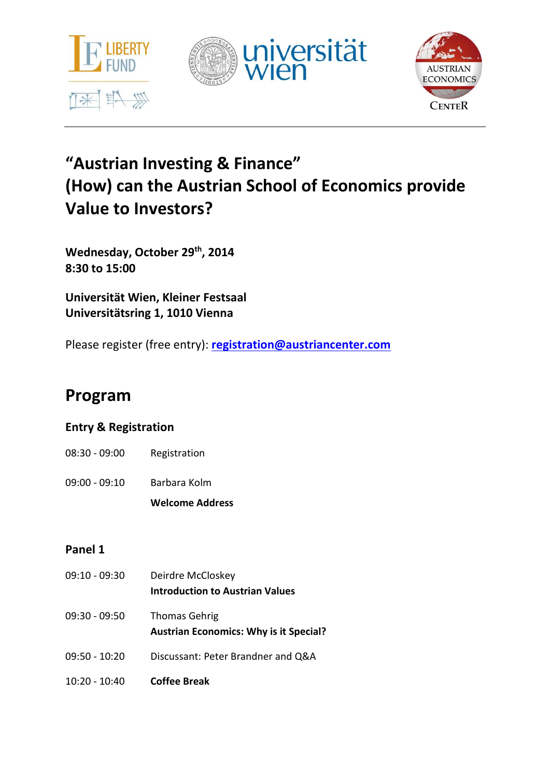





# **"Austrian Investing & Finance" (How) can the Austrian School of Economics provide Value to Investors?**

**Wednesday, October 29th, 2014 8:30 to 15:00**

**Universität Wien, Kleiner Festsaal Universitätsring 1, 1010 Vienna**

Please register (free entry): **<registration@austriancenter.com>**

# **Program**

# **Entry & Registration**

- 08:30 09:00 Registration
- 09:00 09:10 Barbara Kolm

**Welcome Address**

# **Panel 1**

| $09:10 - 09:30$ | Deirdre McCloskey<br>Introduction to Austrian Values                  |
|-----------------|-----------------------------------------------------------------------|
| 09:30 - 09:50   | <b>Thomas Gehrig</b><br><b>Austrian Economics: Why is it Special?</b> |
| $09:50 - 10:20$ | Discussant: Peter Brandner and Q&A                                    |
| $10:20 - 10:40$ | <b>Coffee Break</b>                                                   |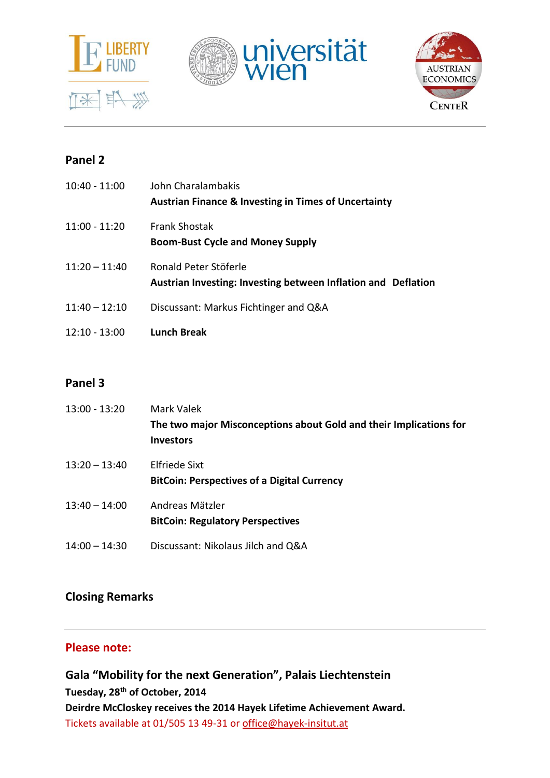





## **Panel 2**

| $10:40 - 11:00$ | John Charalambakis<br><b>Austrian Finance &amp; Investing in Times of Uncertainty</b>  |
|-----------------|----------------------------------------------------------------------------------------|
| $11:00 - 11:20$ | <b>Frank Shostak</b><br><b>Boom-Bust Cycle and Money Supply</b>                        |
| $11:20 - 11:40$ | Ronald Peter Stöferle<br>Austrian Investing: Investing between Inflation and Deflation |
| $11:40 - 12:10$ | Discussant: Markus Fichtinger and Q&A                                                  |
| $12:10 - 13:00$ | <b>Lunch Break</b>                                                                     |

## **Panel 3**

| $13:00 - 13:20$ | Mark Valek<br>The two major Misconceptions about Gold and their Implications for<br><b>Investors</b> |
|-----------------|------------------------------------------------------------------------------------------------------|
| $13:20 - 13:40$ | <b>Elfriede Sixt</b><br><b>BitCoin: Perspectives of a Digital Currency</b>                           |
| $13:40 - 14:00$ | Andreas Mätzler<br><b>BitCoin: Regulatory Perspectives</b>                                           |
| $14:00 - 14:30$ | Discussant: Nikolaus Jilch and Q&A                                                                   |

## **Closing Remarks**

## **Please note:**

**Gala "Mobility for the next Generation", Palais Liechtenstein Tuesday, 28th of October, 2014 Deirdre McCloskey receives the 2014 Hayek Lifetime Achievement Award.** Tickets available at 01/505 13 49-31 or [office@hayek-insitut.at](mailto:office@hayek-insitut.at)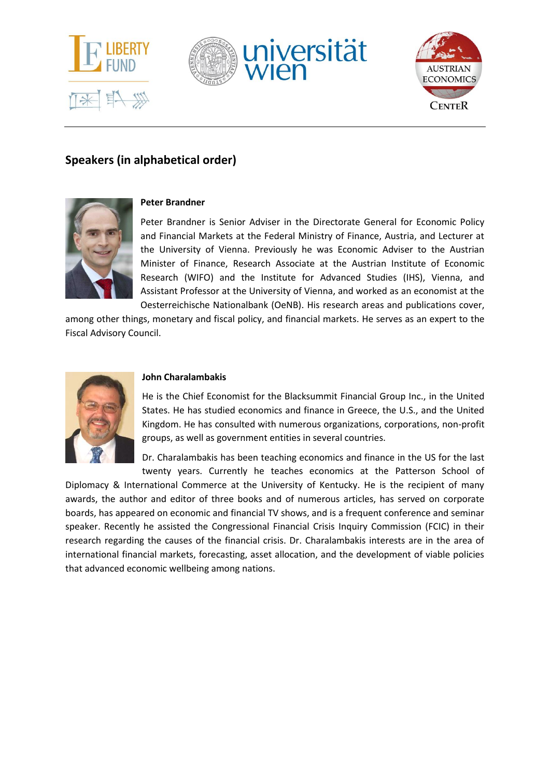





## **Speakers (in alphabetical order)**



### **Peter Brandner**

Peter Brandner is Senior Adviser in the Directorate General for Economic Policy and Financial Markets at the Federal Ministry of Finance, Austria, and Lecturer at the University of Vienna. Previously he was Economic Adviser to the Austrian Minister of Finance, Research Associate at the Austrian Institute of Economic Research (WIFO) and the Institute for Advanced Studies (IHS), Vienna, and Assistant Professor at the University of Vienna, and worked as an economist at the Oesterreichische Nationalbank (OeNB). His research areas and publications cover,

among other things, monetary and fiscal policy, and financial markets. He serves as an expert to the Fiscal Advisory Council.



#### **John Charalambakis**

He is the Chief Economist for the Blacksummit Financial Group Inc., in the United States. He has studied economics and finance in Greece, the U.S., and the United Kingdom. He has consulted with numerous organizations, corporations, non-profit groups, as well as government entities in several countries.

Dr. Charalambakis has been teaching economics and finance in the US for the last twenty years. Currently he teaches economics at the Patterson School of

Diplomacy & International Commerce at the University of Kentucky. He is the recipient of many awards, the author and editor of three books and of numerous articles, has served on corporate boards, has appeared on economic and financial TV shows, and is a frequent conference and seminar speaker. Recently he assisted the Congressional Financial Crisis Inquiry Commission (FCIC) in their research regarding the causes of the financial crisis. Dr. Charalambakis interests are in the area of international financial markets, forecasting, asset allocation, and the development of viable policies that advanced economic wellbeing among nations.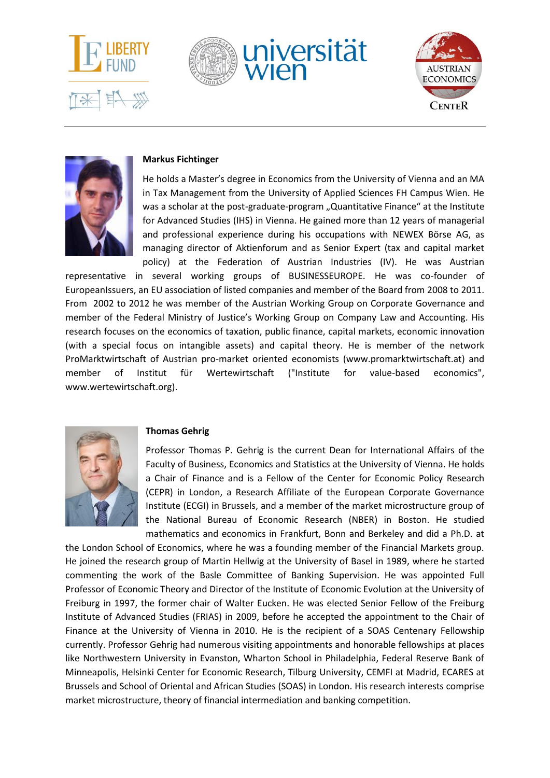







#### **Markus Fichtinger**

He holds a Master's degree in Economics from the University of Vienna and an MA in Tax Management from the University of Applied Sciences FH Campus Wien. He was a scholar at the post-graduate-program "Quantitative Finance" at the Institute for Advanced Studies (IHS) in Vienna. He gained more than 12 years of managerial and professional experience during his occupations with NEWEX Börse AG, as managing director of Aktienforum and as Senior Expert (tax and capital market policy) at the Federation of Austrian Industries (IV). He was Austrian

representative in several working groups of BUSINESSEUROPE. He was co-founder of EuropeanIssuers, an EU association of listed companies and member of the Board from 2008 to 2011. From 2002 to 2012 he was member of the Austrian Working Group on Corporate Governance and member of the Federal Ministry of Justice's Working Group on Company Law and Accounting. His research focuses on the economics of taxation, public finance, capital markets, economic innovation (with a special focus on intangible assets) and capital theory. He is member of the network ProMarktwirtschaft of Austrian pro-market oriented economists (www.promarktwirtschaft.at) and member of Institut für Wertewirtschaft ("Institute for value-based economics", www.wertewirtschaft.org).



#### **Thomas Gehrig**

Professor Thomas P. Gehrig is the current Dean for International Affairs of the Faculty of Business, Economics and Statistics at the University of Vienna. He holds a Chair of Finance and is a Fellow of the Center for Economic Policy Research (CEPR) in London, a Research Affiliate of the European Corporate Governance Institute (ECGI) in Brussels, and a member of the market microstructure group of the National Bureau of Economic Research (NBER) in Boston. He studied mathematics and economics in Frankfurt, Bonn and Berkeley and did a Ph.D. at

the London School of Economics, where he was a founding member of the Financial Markets group. He joined the research group of Martin Hellwig at the University of Basel in 1989, where he started commenting the work of the Basle Committee of Banking Supervision. He was appointed Full Professor of Economic Theory and Director of the Institute of Economic Evolution at the University of Freiburg in 1997, the former chair of Walter Eucken. He was elected Senior Fellow of the Freiburg Institute of Advanced Studies (FRIAS) in 2009, before he accepted the appointment to the Chair of Finance at the University of Vienna in 2010. He is the recipient of a SOAS Centenary Fellowship currently. Professor Gehrig had numerous visiting appointments and honorable fellowships at places like Northwestern University in Evanston, Wharton School in Philadelphia, Federal Reserve Bank of Minneapolis, Helsinki Center for Economic Research, Tilburg University, CEMFI at Madrid, ECARES at Brussels and School of Oriental and African Studies (SOAS) in London. His research interests comprise market microstructure, theory of financial intermediation and banking competition.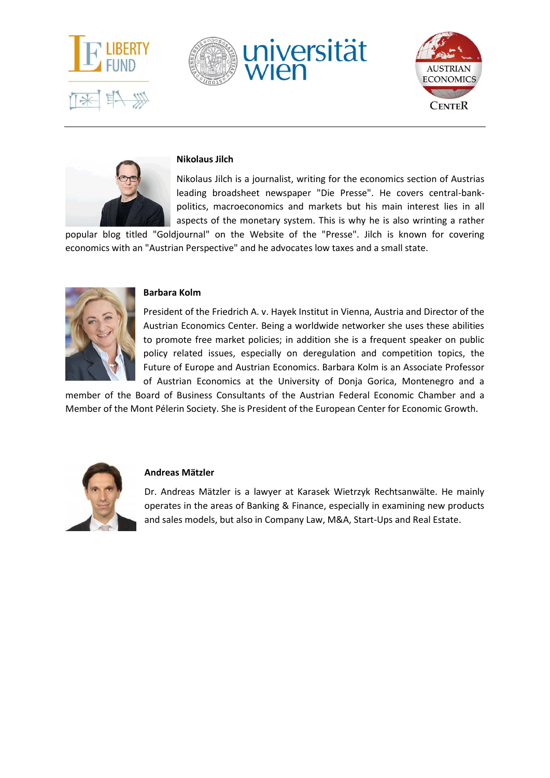







#### **Nikolaus Jilch**

Nikolaus Jilch is a journalist, writing for the economics section of Austrias leading broadsheet newspaper "Die Presse". He covers central-bankpolitics, macroeconomics and markets but his main interest lies in all aspects of the monetary system. This is why he is also wrinting a rather

popular blog titled "Goldjournal" on the Website of the "Presse". Jilch is known for covering economics with an "Austrian Perspective" and he advocates low taxes and a small state.



#### **Barbara Kolm**

President of the Friedrich A. v. Hayek Institut in Vienna, Austria and Director of the Austrian Economics Center. Being a worldwide networker she uses these abilities to promote free market policies; in addition she is a frequent speaker on public policy related issues, especially on deregulation and competition topics, the Future of Europe and Austrian Economics. Barbara Kolm is an Associate Professor of Austrian Economics at the University of Donja Gorica, Montenegro and a

member of the Board of Business Consultants of the Austrian Federal Economic Chamber and a Member of the Mont Pélerin Society. She is President of the European Center for Economic Growth.



#### **Andreas Mätzler**

Dr. Andreas Mätzler is a lawyer at Karasek Wietrzyk Rechtsanwälte. He mainly operates in the areas of Banking & Finance, especially in examining new products and sales models, but also in Company Law, M&A, Start-Ups and Real Estate.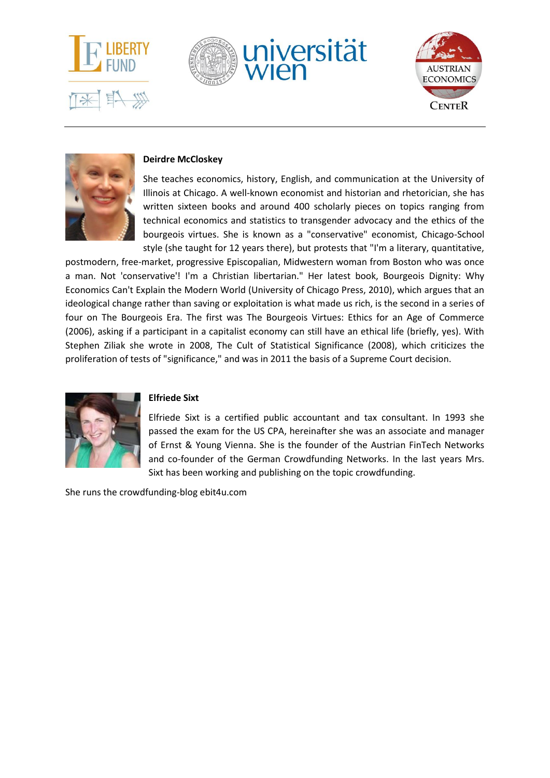







### **Deirdre McCloskey**

She teaches economics, history, English, and communication at the University of Illinois at Chicago. A well-known economist and historian and rhetorician, she has written sixteen books and around 400 scholarly pieces on topics ranging from technical economics and statistics to transgender advocacy and the ethics of the bourgeois virtues. She is known as a "conservative" economist, Chicago-School style (she taught for 12 years there), but protests that "I'm a literary, quantitative,

postmodern, free-market, progressive Episcopalian, Midwestern woman from Boston who was once a man. Not 'conservative'! I'm a Christian libertarian." Her latest book, Bourgeois Dignity: Why Economics Can't Explain the Modern World (University of Chicago Press, 2010), which argues that an ideological change rather than saving or exploitation is what made us rich, is the second in a series of four on The Bourgeois Era. The first was The Bourgeois Virtues: Ethics for an Age of Commerce (2006), asking if a participant in a capitalist economy can still have an ethical life (briefly, yes). With Stephen Ziliak she wrote in 2008, The Cult of Statistical Significance (2008), which criticizes the proliferation of tests of "significance," and was in 2011 the basis of a Supreme Court decision.



## **Elfriede Sixt**

Elfriede Sixt is a certified public accountant and tax consultant. In 1993 she passed the exam for the US CPA, hereinafter she was an associate and manager of Ernst & Young Vienna. She is the founder of the Austrian FinTech Networks and co-founder of the German Crowdfunding Networks. In the last years Mrs. Sixt has been working and publishing on the topic crowdfunding.

She runs the crowdfunding-blog ebit4u.com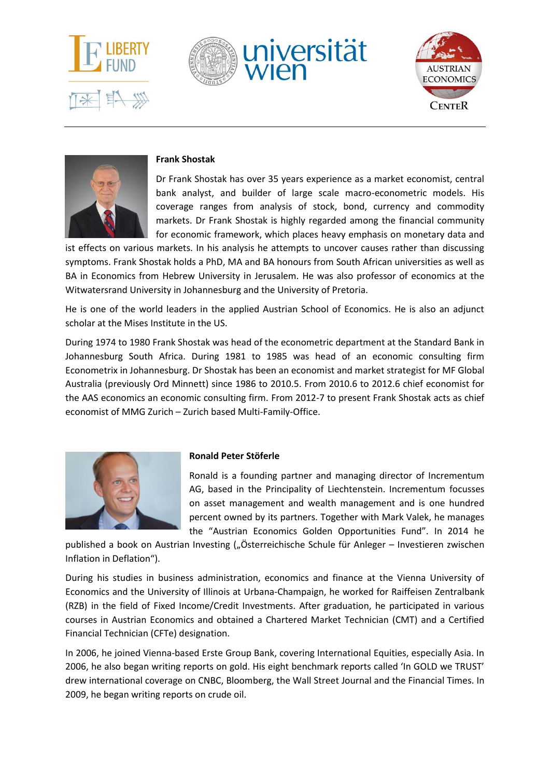







#### **Frank Shostak**

Dr Frank Shostak has over 35 years experience as a market economist, central bank analyst, and builder of large scale macro-econometric models. His coverage ranges from analysis of stock, bond, currency and commodity markets. Dr Frank Shostak is highly regarded among the financial community for economic framework, which places heavy emphasis on monetary data and

ist effects on various markets. In his analysis he attempts to uncover causes rather than discussing symptoms. Frank Shostak holds a PhD, MA and BA honours from South African universities as well as BA in Economics from Hebrew University in Jerusalem. He was also professor of economics at the Witwatersrand University in Johannesburg and the University of Pretoria.

He is one of the world leaders in the applied Austrian School of Economics. He is also an adjunct scholar at the Mises Institute in the US.

During 1974 to 1980 Frank Shostak was head of the econometric department at the Standard Bank in Johannesburg South Africa. During 1981 to 1985 was head of an economic consulting firm Econometrix in Johannesburg. Dr Shostak has been an economist and market strategist for MF Global Australia (previously Ord Minnett) since 1986 to 2010.5. From 2010.6 to 2012.6 chief economist for the AAS economics an economic consulting firm. From 2012-7 to present Frank Shostak acts as chief economist of MMG Zurich – Zurich based Multi-Family-Office.



#### **Ronald Peter Stöferle**

Ronald is a founding partner and managing director of Incrementum AG, based in the Principality of Liechtenstein. Incrementum focusses on asset management and wealth management and is one hundred percent owned by its partners. Together with Mark Valek, he manages the "Austrian Economics Golden Opportunities Fund". In 2014 he

published a book on Austrian Investing ("Österreichische Schule für Anleger – Investieren zwischen Inflation in Deflation").

During his studies in business administration, economics and finance at the Vienna University of Economics and the University of Illinois at Urbana-Champaign, he worked for Raiffeisen Zentralbank (RZB) in the field of Fixed Income/Credit Investments. After graduation, he participated in various courses in Austrian Economics and obtained a Chartered Market Technician (CMT) and a Certified Financial Technician (CFTe) designation.

In 2006, he joined Vienna-based Erste Group Bank, covering International Equities, especially Asia. In 2006, he also began writing reports on gold. His eight benchmark reports called 'In GOLD we TRUST' drew international coverage on CNBC, Bloomberg, the Wall Street Journal and the Financial Times. In 2009, he began writing reports on crude oil.